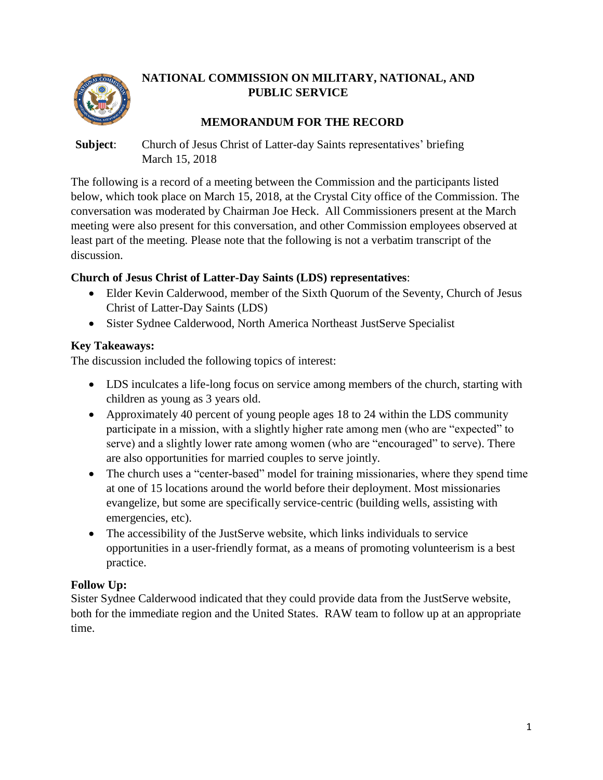

# **NATIONAL COMMISSION ON MILITARY, NATIONAL, AND PUBLIC SERVICE**

# **MEMORANDUM FOR THE RECORD**

#### **Subject**: Church of Jesus Christ of Latter-day Saints representatives' briefing March 15, 2018

The following is a record of a meeting between the Commission and the participants listed below, which took place on March 15, 2018, at the Crystal City office of the Commission. The conversation was moderated by Chairman Joe Heck. All Commissioners present at the March meeting were also present for this conversation, and other Commission employees observed at least part of the meeting. Please note that the following is not a verbatim transcript of the discussion.

#### **Church of Jesus Christ of Latter-Day Saints (LDS) representatives**:

- Elder Kevin Calderwood, member of the Sixth Quorum of the Seventy, Church of Jesus Christ of Latter-Day Saints (LDS)
- Sister Sydnee Calderwood, North America Northeast JustServe Specialist

# **Key Takeaways:**

The discussion included the following topics of interest:

- LDS inculcates a life-long focus on service among members of the church, starting with children as young as 3 years old.
- Approximately 40 percent of young people ages 18 to 24 within the LDS community participate in a mission, with a slightly higher rate among men (who are "expected" to serve) and a slightly lower rate among women (who are "encouraged" to serve). There are also opportunities for married couples to serve jointly.
- The church uses a "center-based" model for training missionaries, where they spend time at one of 15 locations around the world before their deployment. Most missionaries evangelize, but some are specifically service-centric (building wells, assisting with emergencies, etc).
- The accessibility of the JustServe website, which links individuals to service opportunities in a user-friendly format, as a means of promoting volunteerism is a best practice.

# **Follow Up:**

Sister Sydnee Calderwood indicated that they could provide data from the JustServe website, both for the immediate region and the United States. RAW team to follow up at an appropriate time.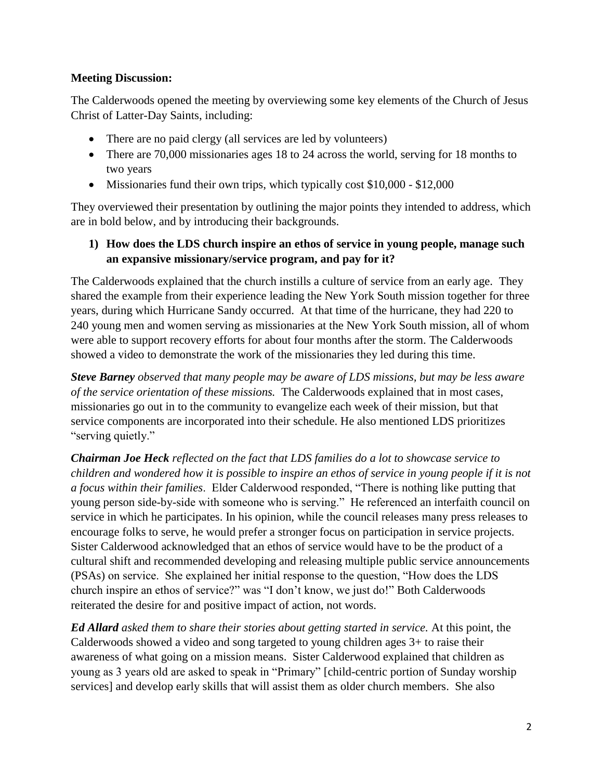#### **Meeting Discussion:**

The Calderwoods opened the meeting by overviewing some key elements of the Church of Jesus Christ of Latter-Day Saints, including:

- There are no paid clergy (all services are led by volunteers)
- There are 70,000 missionaries ages 18 to 24 across the world, serving for 18 months to two years
- Missionaries fund their own trips, which typically cost \$10,000 \$12,000

They overviewed their presentation by outlining the major points they intended to address, which are in bold below, and by introducing their backgrounds.

**1) How does the LDS church inspire an ethos of service in young people, manage such an expansive missionary/service program, and pay for it?**

The Calderwoods explained that the church instills a culture of service from an early age. They shared the example from their experience leading the New York South mission together for three years, during which Hurricane Sandy occurred. At that time of the hurricane, they had 220 to 240 young men and women serving as missionaries at the New York South mission, all of whom were able to support recovery efforts for about four months after the storm. The Calderwoods showed a video to demonstrate the work of the missionaries they led during this time.

*Steve Barney observed that many people may be aware of LDS missions, but may be less aware of the service orientation of these missions.* The Calderwoods explained that in most cases, missionaries go out in to the community to evangelize each week of their mission, but that service components are incorporated into their schedule. He also mentioned LDS prioritizes "serving quietly."

*Chairman Joe Heck reflected on the fact that LDS families do a lot to showcase service to children and wondered how it is possible to inspire an ethos of service in young people if it is not a focus within their families*. Elder Calderwood responded, "There is nothing like putting that young person side-by-side with someone who is serving." He referenced an interfaith council on service in which he participates. In his opinion, while the council releases many press releases to encourage folks to serve, he would prefer a stronger focus on participation in service projects. Sister Calderwood acknowledged that an ethos of service would have to be the product of a cultural shift and recommended developing and releasing multiple public service announcements (PSAs) on service. She explained her initial response to the question, "How does the LDS church inspire an ethos of service?" was "I don't know, we just do!" Both Calderwoods reiterated the desire for and positive impact of action, not words.

*Ed Allard asked them to share their stories about getting started in service.* At this point, the Calderwoods showed a video and song targeted to young children ages 3+ to raise their awareness of what going on a mission means. Sister Calderwood explained that children as young as 3 years old are asked to speak in "Primary" [child-centric portion of Sunday worship services] and develop early skills that will assist them as older church members. She also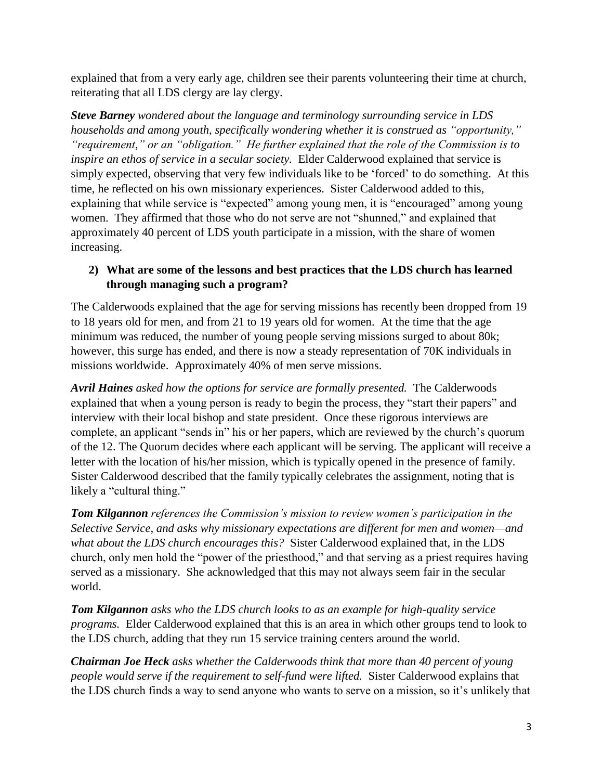explained that from a very early age, children see their parents volunteering their time at church, reiterating that all LDS clergy are lay clergy.

*Steve Barney wondered about the language and terminology surrounding service in LDS households and among youth, specifically wondering whether it is construed as "opportunity," "requirement," or an "obligation." He further explained that the role of the Commission is to inspire an ethos of service in a secular society.* Elder Calderwood explained that service is simply expected, observing that very few individuals like to be 'forced' to do something. At this time, he reflected on his own missionary experiences. Sister Calderwood added to this, explaining that while service is "expected" among young men, it is "encouraged" among young women. They affirmed that those who do not serve are not "shunned," and explained that approximately 40 percent of LDS youth participate in a mission, with the share of women increasing.

### **2) What are some of the lessons and best practices that the LDS church has learned through managing such a program?**

The Calderwoods explained that the age for serving missions has recently been dropped from 19 to 18 years old for men, and from 21 to 19 years old for women. At the time that the age minimum was reduced, the number of young people serving missions surged to about 80k; however, this surge has ended, and there is now a steady representation of 70K individuals in missions worldwide. Approximately 40% of men serve missions.

*Avril Haines asked how the options for service are formally presented.* The Calderwoods explained that when a young person is ready to begin the process, they "start their papers" and interview with their local bishop and state president. Once these rigorous interviews are complete, an applicant "sends in" his or her papers, which are reviewed by the church's quorum of the 12. The Quorum decides where each applicant will be serving. The applicant will receive a letter with the location of his/her mission, which is typically opened in the presence of family. Sister Calderwood described that the family typically celebrates the assignment, noting that is likely a "cultural thing."

*Tom Kilgannon references the Commission's mission to review women's participation in the Selective Service, and asks why missionary expectations are different for men and women—and what about the LDS church encourages this?* Sister Calderwood explained that, in the LDS church, only men hold the "power of the priesthood," and that serving as a priest requires having served as a missionary. She acknowledged that this may not always seem fair in the secular world.

*Tom Kilgannon asks who the LDS church looks to as an example for high-quality service programs.* Elder Calderwood explained that this is an area in which other groups tend to look to the LDS church, adding that they run 15 service training centers around the world.

*Chairman Joe Heck asks whether the Calderwoods think that more than 40 percent of young people would serve if the requirement to self-fund were lifted.* Sister Calderwood explains that the LDS church finds a way to send anyone who wants to serve on a mission, so it's unlikely that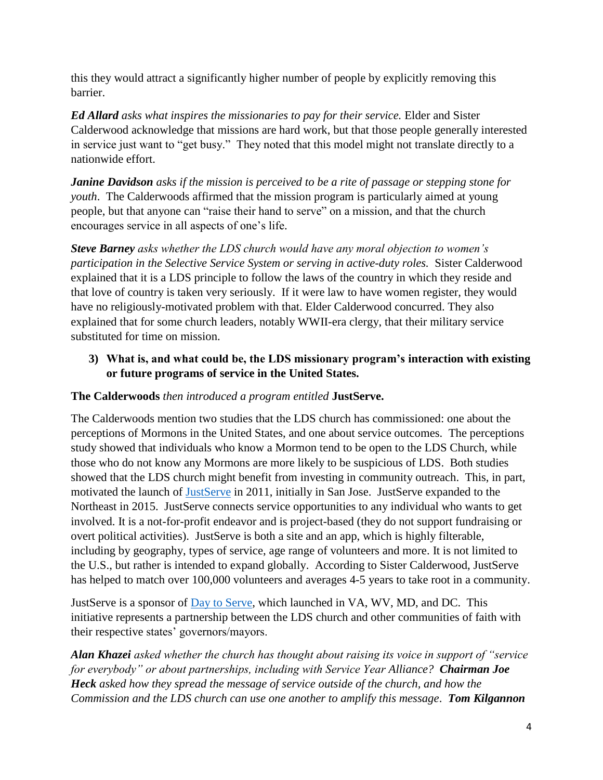this they would attract a significantly higher number of people by explicitly removing this barrier.

*Ed Allard asks what inspires the missionaries to pay for their service.* Elder and Sister Calderwood acknowledge that missions are hard work, but that those people generally interested in service just want to "get busy." They noted that this model might not translate directly to a nationwide effort.

*Janine Davidson asks if the mission is perceived to be a rite of passage or stepping stone for youth*. The Calderwoods affirmed that the mission program is particularly aimed at young people, but that anyone can "raise their hand to serve" on a mission, and that the church encourages service in all aspects of one's life.

*Steve Barney asks whether the LDS church would have any moral objection to women's participation in the Selective Service System or serving in active-duty roles.* Sister Calderwood explained that it is a LDS principle to follow the laws of the country in which they reside and that love of country is taken very seriously. If it were law to have women register, they would have no religiously-motivated problem with that. Elder Calderwood concurred. They also explained that for some church leaders, notably WWII-era clergy, that their military service substituted for time on mission.

**3) What is, and what could be, the LDS missionary program's interaction with existing or future programs of service in the United States.**

#### **The Calderwoods** *then introduced a program entitled* **JustServe.**

The Calderwoods mention two studies that the LDS church has commissioned: one about the perceptions of Mormons in the United States, and one about service outcomes. The perceptions study showed that individuals who know a Mormon tend to be open to the LDS Church, while those who do not know any Mormons are more likely to be suspicious of LDS. Both studies showed that the LDS church might benefit from investing in community outreach. This, in part, motivated the launch of [JustServe](https://www.justserve.org/) in 2011, initially in San Jose. JustServe expanded to the Northeast in 2015. JustServe connects service opportunities to any individual who wants to get involved. It is a not-for-profit endeavor and is project-based (they do not support fundraising or overt political activities). JustServe is both a site and an app, which is highly filterable, including by geography, types of service, age range of volunteers and more. It is not limited to the U.S., but rather is intended to expand globally. According to Sister Calderwood, JustServe has helped to match over 100,000 volunteers and averages 4-5 years to take root in a community.

JustServe is a sponsor of [Day to Serve,](http://daytoserve.org/) which launched in VA, WV, MD, and DC. This initiative represents a partnership between the LDS church and other communities of faith with their respective states' governors/mayors.

*Alan Khazei asked whether the church has thought about raising its voice in support of "service for everybody" or about partnerships, including with Service Year Alliance? Chairman Joe Heck asked how they spread the message of service outside of the church, and how the Commission and the LDS church can use one another to amplify this message*. *Tom Kilgannon*